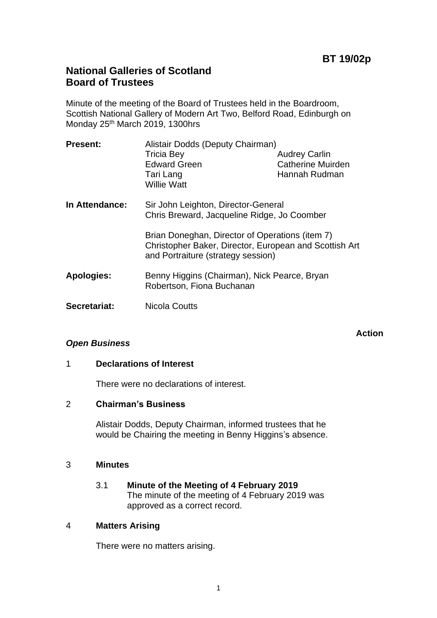**Action**

# **National Galleries of Scotland Board of Trustees**

Minute of the meeting of the Board of Trustees held in the Boardroom, Scottish National Gallery of Modern Art Two, Belford Road, Edinburgh on Monday 25th March 2019, 1300hrs

| <b>Present:</b>   | Alistair Dodds (Deputy Chairman)                                                                                                                |                          |
|-------------------|-------------------------------------------------------------------------------------------------------------------------------------------------|--------------------------|
|                   | <b>Tricia Bey</b>                                                                                                                               | <b>Audrey Carlin</b>     |
|                   | <b>Edward Green</b>                                                                                                                             | <b>Catherine Muirden</b> |
|                   | Tari Lang<br><b>Willie Watt</b>                                                                                                                 | Hannah Rudman            |
| In Attendance:    | Sir John Leighton, Director-General<br>Chris Breward, Jacqueline Ridge, Jo Coomber                                                              |                          |
|                   | Brian Doneghan, Director of Operations (item 7)<br>Christopher Baker, Director, European and Scottish Art<br>and Portraiture (strategy session) |                          |
| <b>Apologies:</b> | Benny Higgins (Chairman), Nick Pearce, Bryan<br>Robertson, Fiona Buchanan                                                                       |                          |
| Secretariat:      | Nicola Coutts                                                                                                                                   |                          |

## *Open Business*

# 1 **Declarations of Interest**

There were no declarations of interest.

#### 2 **Chairman's Business**

Alistair Dodds, Deputy Chairman, informed trustees that he would be Chairing the meeting in Benny Higgins's absence.

## 3 **Minutes**

3.1 **Minute of the Meeting of 4 February 2019** The minute of the meeting of 4 February 2019 was approved as a correct record.

## 4 **Matters Arising**

There were no matters arising.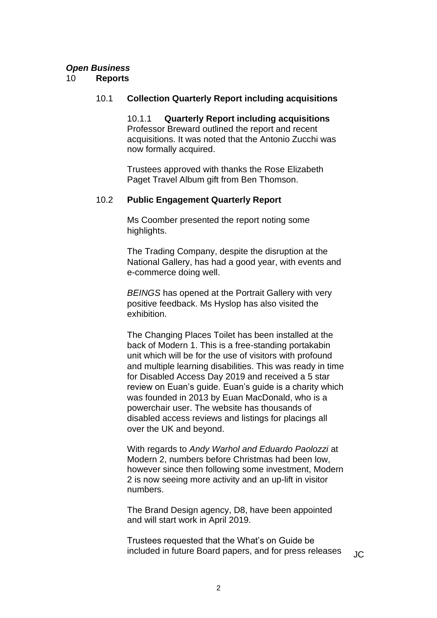# *Open Business*

## 10 **Reports**

## 10.1 **Collection Quarterly Report including acquisitions**

10.1.1 **Quarterly Report including acquisitions** Professor Breward outlined the report and recent acquisitions. It was noted that the Antonio Zucchi was now formally acquired.

Trustees approved with thanks the Rose Elizabeth Paget Travel Album gift from Ben Thomson.

## 10.2 **Public Engagement Quarterly Report**

Ms Coomber presented the report noting some highlights.

The Trading Company, despite the disruption at the National Gallery, has had a good year, with events and e-commerce doing well.

*BEINGS* has opened at the Portrait Gallery with very positive feedback. Ms Hyslop has also visited the exhibition.

The Changing Places Toilet has been installed at the back of Modern 1. This is a free-standing portakabin unit which will be for the use of visitors with profound and multiple learning disabilities. This was ready in time for Disabled Access Day 2019 and received a 5 star review on Euan's guide. Euan's guide is a charity which was founded in 2013 by Euan MacDonald, who is a powerchair user. The website has thousands of disabled access reviews and listings for placings all over the UK and beyond.

With regards to *Andy Warhol and Eduardo Paolozzi* at Modern 2, numbers before Christmas had been low, however since then following some investment, Modern 2 is now seeing more activity and an up-lift in visitor numbers.

The Brand Design agency, D8, have been appointed and will start work in April 2019.

Trustees requested that the What's on Guide be included in future Board papers, and for press releases  $\overline{J}$